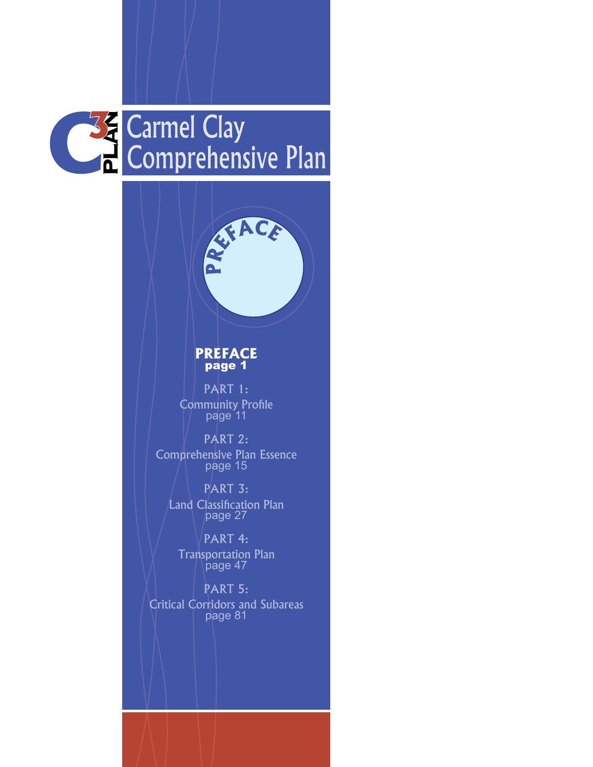

# **PREFACE** page 1

**ACE** 

PART 1: Community Profile page 11

PART 2: Comprehensive Plan Essence page 15

PART 3: Land Classification Plan page 27

PART 4: Transportation Plan page 47

PART 5: Critical Corridors and Subareas page 81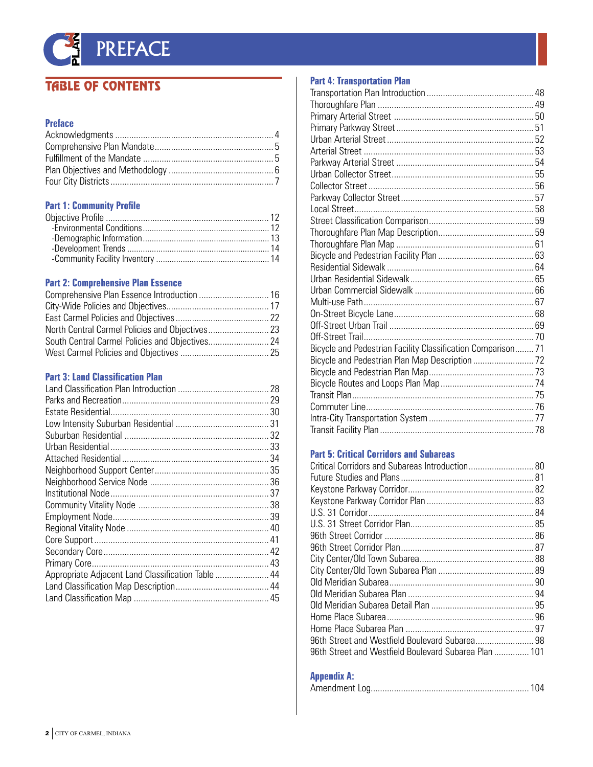

# **TABLE OF CONTENTS**

## **Preface**

### **Part 1: Community Profile**

# **Part 2: Comprehensive Plan Essence**

## **Part 3: Land Classification Plan**

| 28 |
|----|
|    |
|    |
|    |
|    |
|    |
|    |
|    |
|    |
|    |
|    |
|    |
|    |
|    |
|    |
|    |
|    |
|    |
|    |

# **Part 4: Transportation Plan**

| Bicycle and Pedestrian Facility Classification Comparison 71 |  |
|--------------------------------------------------------------|--|
| Bicycle and Pedestrian Plan Map Description  72              |  |
|                                                              |  |
|                                                              |  |
|                                                              |  |
|                                                              |  |
|                                                              |  |
|                                                              |  |

## **Part 5: Critical Corridors and Subareas**

| 96th Street and Westfield Boulevard Subarea Plan  101 |  |
|-------------------------------------------------------|--|
|                                                       |  |

# **Appendix A:**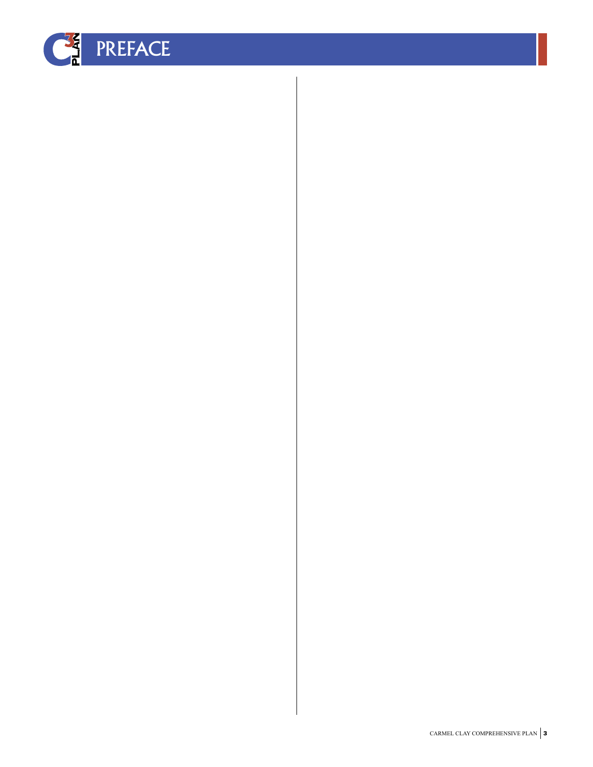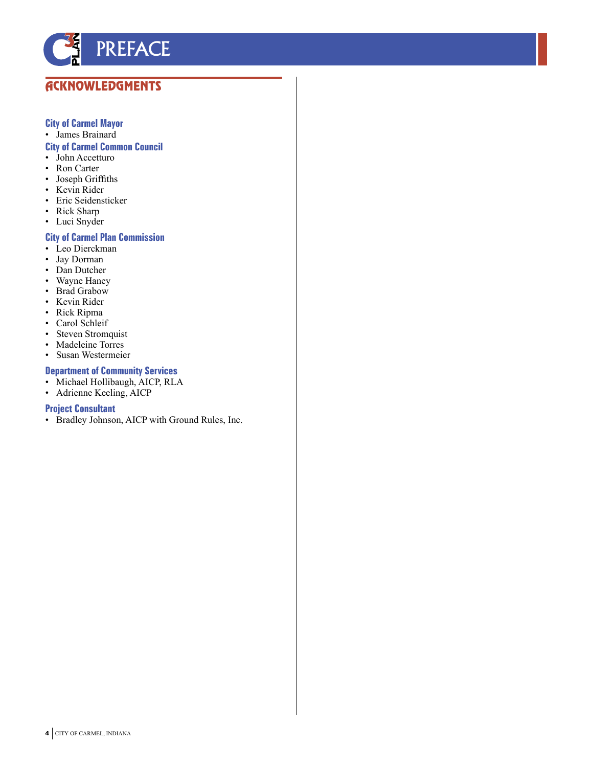

# **ACKNOWLEDGMENTS**

#### **City of Carmel Mayor**

• James Brainard

### **City of Carmel Common Council**

- John Accetturo
- Ron Carter
- Joseph Griffiths<br>• Kevin Rider
- Kevin Rider
- Eric Seidensticker
- Rick Sharp
- Luci Snyder

## **City of Carmel Plan Commission**

- Leo Dierckman<br>• Iav Dorman
- Jay Dorman
- Dan Dutcher
- Wayne Haney
- Brad Grabow
- Kevin Rider
- Rick Ripma<br>• Carol Schlei
- Carol Schleif
- Steven Stromquist
- Madeleine Torres • Susan Westermeier

## **Department of Community Services**

- Michael Hollibaugh, AICP, RLA
- Adrienne Keeling, AICP

#### **Project Consultant**

• Bradley Johnson, AICP with Ground Rules, Inc.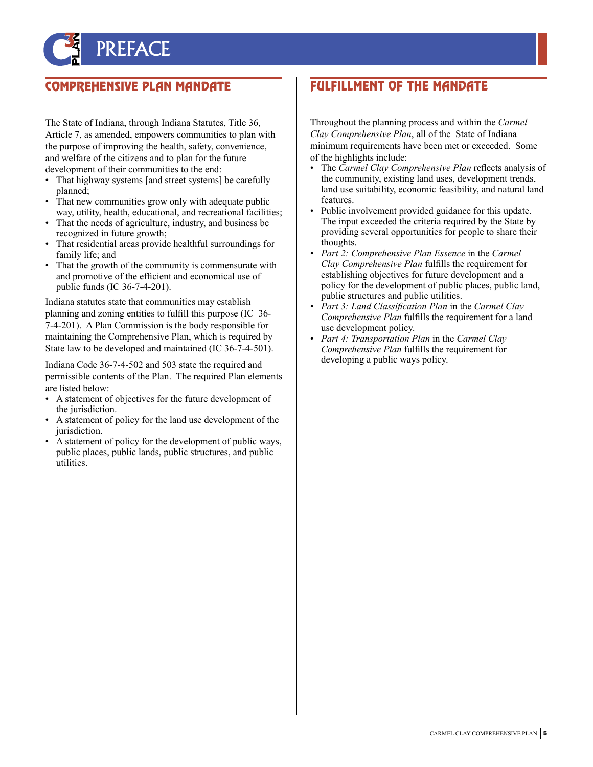

# COMPREHENSIVE PLAN MANDATE

The State of Indiana, through Indiana Statutes, Title 36, Article 7, as amended, empowers communities to plan with the purpose of improving the health, safety, convenience, and welfare of the citizens and to plan for the future development of their communities to the end:

- That highway systems [and street systems] be carefully planned;
- That new communities grow only with adequate public way, utility, health, educational, and recreational facilities;
- That the needs of agriculture, industry, and business be recognized in future growth;
- That residential areas provide healthful surroundings for family life; and
- That the growth of the community is commensurate with and promotive of the efficient and economical use of public funds (IC 36-7-4-201).

Indiana statutes state that communities may establish planning and zoning entities to fulfill this purpose (IC 36- 7-4-201). A Plan Commission is the body responsible for maintaining the Comprehensive Plan, which is required by State law to be developed and maintained (IC 36-7-4-501).

Indiana Code 36-7-4-502 and 503 state the required and permissible contents of the Plan. The required Plan elements are listed below:

- A statement of objectives for the future development of the jurisdiction.
- A statement of policy for the land use development of the jurisdiction.
- A statement of policy for the development of public ways, public places, public lands, public structures, and public utilities.

# FULFILLMENT OF THE MANDATE

Throughout the planning process and within the *Carmel Clay Comprehensive Plan*, all of the State of Indiana minimum requirements have been met or exceeded. Some of the highlights include:

- The *Carmel Clay Comprehensive Plan* reflects analysis of the community, existing land uses, development trends, land use suitability, economic feasibility, and natural land features.
- Public involvement provided guidance for this update. The input exceeded the criteria required by the State by providing several opportunities for people to share their thoughts.
- *Part 2: Comprehensive Plan Essence* in the *Carmel Clay Comprehensive Plan* fulfills the requirement for establishing objectives for future development and a policy for the development of public places, public land, public structures and public utilities.
- *Part 3: Land Classification Plan* in the *Carmel Clay Comprehensive Plan* fulfills the requirement for a land use development policy.
- *Part 4: Transportation Plan* in the *Carmel Clay Comprehensive Plan* fulfills the requirement for developing a public ways policy.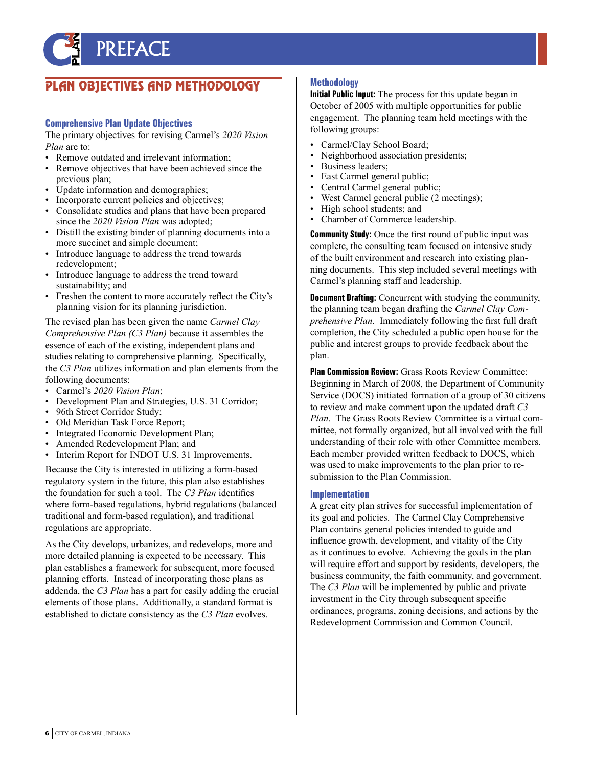

# PLAN OBJECTIVES AND METHODOLOGY

#### **Comprehensive Plan Update Objectives**

The primary objectives for revising Carmel's *2020 Vision Plan* are to:

- Remove outdated and irrelevant information;
- Remove objectives that have been achieved since the previous plan;
- Update information and demographics;
- Incorporate current policies and objectives;
- Consolidate studies and plans that have been prepared since the *2020 Vision Plan* was adopted;
- Distill the existing binder of planning documents into a more succinct and simple document;
- Introduce language to address the trend towards redevelopment;
- Introduce language to address the trend toward sustainability; and
- Freshen the content to more accurately reflect the City's planning vision for its planning jurisdiction.

The revised plan has been given the name *Carmel Clay Comprehensive Plan (C3 Plan)* because it assembles the essence of each of the existing, independent plans and studies relating to comprehensive planning. Specifically, the *C3 Plan* utilizes information and plan elements from the following documents:

- Carmel's *2020 Vision Plan*;
- Development Plan and Strategies, U.S. 31 Corridor;
- 96th Street Corridor Study;
- Old Meridian Task Force Report;
- Integrated Economic Development Plan;
- Amended Redevelopment Plan; and
- Interim Report for INDOT U.S. 31 Improvements.

Because the City is interested in utilizing a form-based regulatory system in the future, this plan also establishes the foundation for such a tool. The *C3 Plan* identifies where form-based regulations, hybrid regulations (balanced traditional and form-based regulation), and traditional regulations are appropriate.

As the City develops, urbanizes, and redevelops, more and more detailed planning is expected to be necessary. This plan establishes a framework for subsequent, more focused planning efforts. Instead of incorporating those plans as addenda, the *C3 Plan* has a part for easily adding the crucial elements of those plans. Additionally, a standard format is established to dictate consistency as the *C3 Plan* evolves.

### **Methodology**

**Initial Public Input:** The process for this update began in October of 2005 with multiple opportunities for public engagement. The planning team held meetings with the following groups:

- Carmel/Clay School Board;
- Neighborhood association presidents;
- Business leaders;
- East Carmel general public;
- Central Carmel general public;
- West Carmel general public (2 meetings);
- High school students; and
- Chamber of Commerce leadership.

**Community Study:** Once the first round of public input was complete, the consulting team focused on intensive study of the built environment and research into existing planning documents. This step included several meetings with Carmel's planning staff and leadership.

**Document Drafting:** Concurrent with studying the community, the planning team began drafting the *Carmel Clay Comprehensive Plan*. Immediately following the first full draft completion, the City scheduled a public open house for the public and interest groups to provide feedback about the plan.

**Plan Commission Review:** Grass Roots Review Committee: Beginning in March of 2008, the Department of Community Service (DOCS) initiated formation of a group of 30 citizens to review and make comment upon the updated draft *C3 Plan*. The Grass Roots Review Committee is a virtual committee, not formally organized, but all involved with the full understanding of their role with other Committee members. Each member provided written feedback to DOCS, which was used to make improvements to the plan prior to resubmission to the Plan Commission.

#### **Implementation**

A great city plan strives for successful implementation of its goal and policies. The Carmel Clay Comprehensive Plan contains general policies intended to guide and influence growth, development, and vitality of the City as it continues to evolve. Achieving the goals in the plan will require effort and support by residents, developers, the business community, the faith community, and government. The *C3 Plan* will be implemented by public and private investment in the City through subsequent specific ordinances, programs, zoning decisions, and actions by the Redevelopment Commission and Common Council.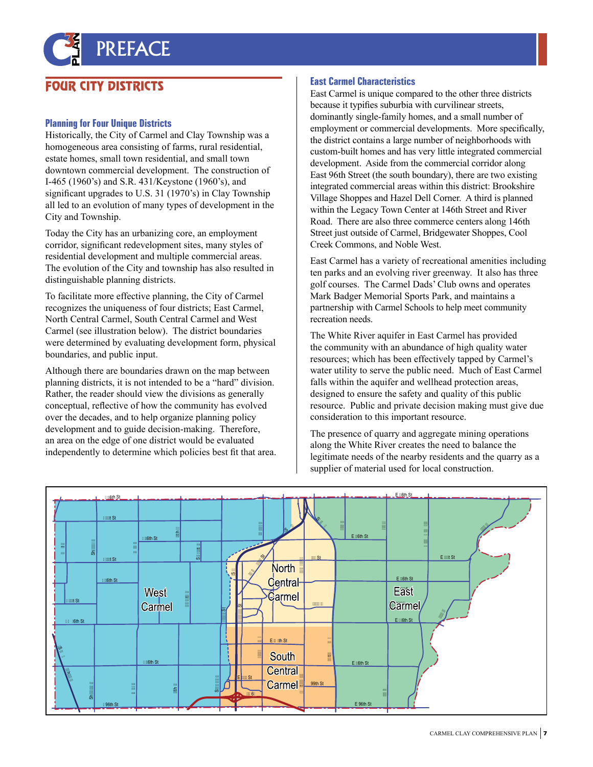

# FOUR CITY DISTRICTS

### **Planning for Four Unique Districts**

Historically, the City of Carmel and Clay Township was a homogeneous area consisting of farms, rural residential, estate homes, small town residential, and small town downtown commercial development. The construction of I-465 (1960's) and S.R. 431/Keystone (1960's), and significant upgrades to U.S. 31 (1970's) in Clay Township all led to an evolution of many types of development in the City and Township.

Today the City has an urbanizing core, an employment corridor, significant redevelopment sites, many styles of residential development and multiple commercial areas. The evolution of the City and township has also resulted in distinguishable planning districts.

To facilitate more effective planning, the City of Carmel recognizes the uniqueness of four districts; East Carmel, North Central Carmel, South Central Carmel and West Carmel (see illustration below). The district boundaries were determined by evaluating development form, physical boundaries, and public input.

Although there are boundaries drawn on the map between planning districts, it is not intended to be a "hard" division. Rather, the reader should view the divisions as generally conceptual, reflective of how the community has evolved over the decades, and to help organize planning policy development and to guide decision-making. Therefore, an area on the edge of one district would be evaluated independently to determine which policies best fit that area.

## **East Carmel Characteristics**

East Carmel is unique compared to the other three districts because it typifies suburbia with curvilinear streets, dominantly single-family homes, and a small number of employment or commercial developments. More specifically, the district contains a large number of neighborhoods with custom-built homes and has very little integrated commercial development. Aside from the commercial corridor along East 96th Street (the south boundary), there are two existing integrated commercial areas within this district: Brookshire Village Shoppes and Hazel Dell Corner. A third is planned within the Legacy Town Center at 146th Street and River Road. There are also three commerce centers along 146th Street just outside of Carmel, Bridgewater Shoppes, Cool Creek Commons, and Noble West.

East Carmel has a variety of recreational amenities including ten parks and an evolving river greenway. It also has three golf courses. The Carmel Dads' Club owns and operates Mark Badger Memorial Sports Park, and maintains a partnership with Carmel Schools to help meet community recreation needs.

The White River aquifer in East Carmel has provided the community with an abundance of high quality water resources; which has been effectively tapped by Carmel's water utility to serve the public need. Much of East Carmel falls within the aquifer and wellhead protection areas, designed to ensure the safety and quality of this public resource. Public and private decision making must give due consideration to this important resource.

The presence of quarry and aggregate mining operations along the White River creates the need to balance the legitimate needs of the nearby residents and the quarry as a supplier of material used for local construction.

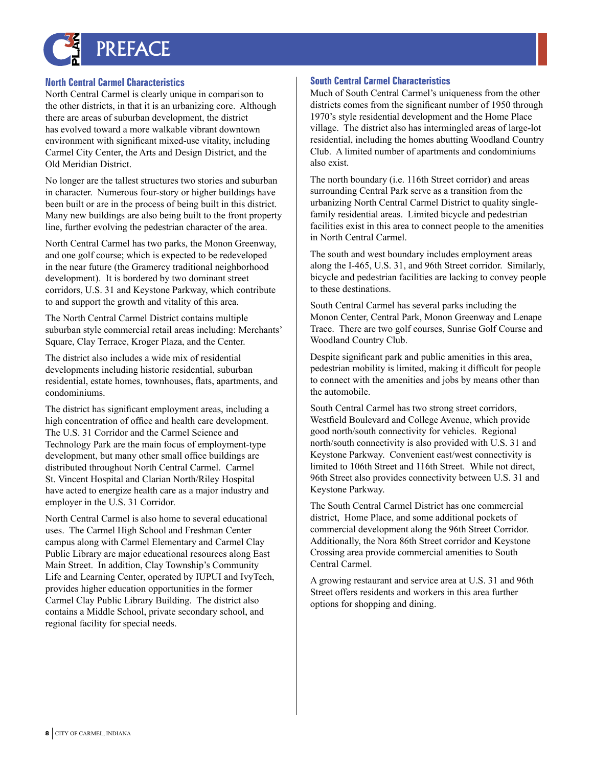

### **North Central Carmel Characteristics**

North Central Carmel is clearly unique in comparison to the other districts, in that it is an urbanizing core. Although there are areas of suburban development, the district has evolved toward a more walkable vibrant downtown environment with significant mixed-use vitality, including Carmel City Center, the Arts and Design District, and the Old Meridian District.

No longer are the tallest structures two stories and suburban in character. Numerous four-story or higher buildings have been built or are in the process of being built in this district. Many new buildings are also being built to the front property line, further evolving the pedestrian character of the area.

North Central Carmel has two parks, the Monon Greenway, and one golf course; which is expected to be redeveloped in the near future (the Gramercy traditional neighborhood development). It is bordered by two dominant street corridors, U.S. 31 and Keystone Parkway, which contribute to and support the growth and vitality of this area.

The North Central Carmel District contains multiple suburban style commercial retail areas including: Merchants' Square, Clay Terrace, Kroger Plaza, and the Center.

The district also includes a wide mix of residential developments including historic residential, suburban residential, estate homes, townhouses, flats, apartments, and condominiums.

The district has significant employment areas, including a high concentration of office and health care development. The U.S. 31 Corridor and the Carmel Science and Technology Park are the main focus of employment-type development, but many other small office buildings are distributed throughout North Central Carmel. Carmel St. Vincent Hospital and Clarian North/Riley Hospital have acted to energize health care as a major industry and employer in the U.S. 31 Corridor.

North Central Carmel is also home to several educational uses. The Carmel High School and Freshman Center campus along with Carmel Elementary and Carmel Clay Public Library are major educational resources along East Main Street. In addition, Clay Township's Community Life and Learning Center, operated by IUPUI and IvyTech, provides higher education opportunities in the former Carmel Clay Public Library Building. The district also contains a Middle School, private secondary school, and regional facility for special needs.

### **South Central Carmel Characteristics**

Much of South Central Carmel's uniqueness from the other districts comes from the significant number of 1950 through 1970's style residential development and the Home Place village. The district also has intermingled areas of large-lot residential, including the homes abutting Woodland Country Club. A limited number of apartments and condominiums also exist.

The north boundary (i.e. 116th Street corridor) and areas surrounding Central Park serve as a transition from the urbanizing North Central Carmel District to quality singlefamily residential areas. Limited bicycle and pedestrian facilities exist in this area to connect people to the amenities in North Central Carmel.

The south and west boundary includes employment areas along the I-465, U.S. 31, and 96th Street corridor. Similarly, bicycle and pedestrian facilities are lacking to convey people to these destinations.

South Central Carmel has several parks including the Monon Center, Central Park, Monon Greenway and Lenape Trace. There are two golf courses, Sunrise Golf Course and Woodland Country Club.

Despite significant park and public amenities in this area, pedestrian mobility is limited, making it difficult for people to connect with the amenities and jobs by means other than the automobile.

South Central Carmel has two strong street corridors, Westfield Boulevard and College Avenue, which provide good north/south connectivity for vehicles. Regional north/south connectivity is also provided with U.S. 31 and Keystone Parkway. Convenient east/west connectivity is limited to 106th Street and 116th Street. While not direct, 96th Street also provides connectivity between U.S. 31 and Keystone Parkway.

The South Central Carmel District has one commercial district, Home Place, and some additional pockets of commercial development along the 96th Street Corridor. Additionally, the Nora 86th Street corridor and Keystone Crossing area provide commercial amenities to South Central Carmel.

A growing restaurant and service area at U.S. 31 and 96th Street offers residents and workers in this area further options for shopping and dining.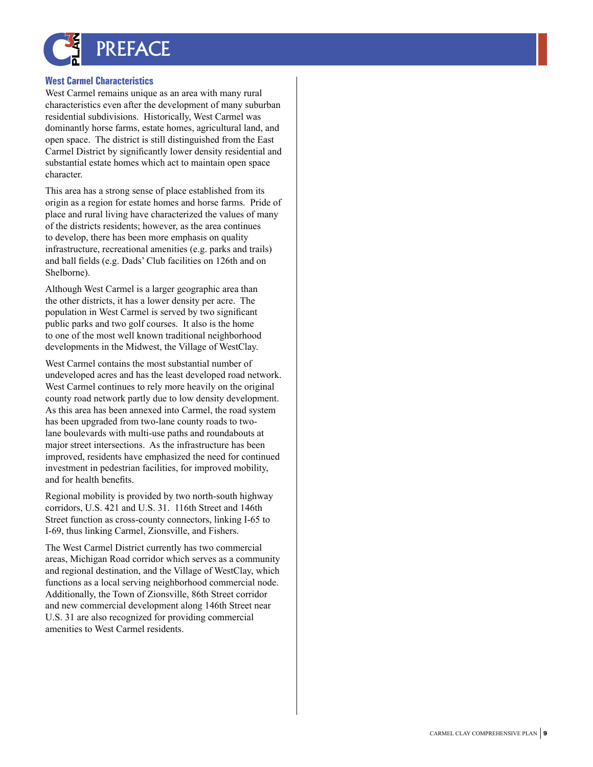

#### **West Carmel Characteristics**

West Carmel remains unique as an area with many rural characteristics even after the development of many suburban residential subdivisions. Historically, West Carmel was dominantly horse farms, estate homes, agricultural land, and open space. The district is still distinguished from the East Carmel District by significantly lower density residential and substantial estate homes which act to maintain open space character.

This area has a strong sense of place established from its origin as a region for estate homes and horse farms. Pride of place and rural living have characterized the values of many of the districts residents; however, as the area continues to develop, there has been more emphasis on quality infrastructure, recreational amenities (e.g. parks and trails) and ball fields (e.g. Dads' Club facilities on 126th and on Shelborne).

Although West Carmel is a larger geographic area than the other districts, it has a lower density per acre. The population in West Carmel is served by two significant public parks and two golf courses. It also is the home to one of the most well known traditional neighborhood developments in the Midwest, the Village of WestClay.

West Carmel contains the most substantial number of undeveloped acres and has the least developed road network. West Carmel continues to rely more heavily on the original county road network partly due to low density development. As this area has been annexed into Carmel, the road system has been upgraded from two-lane county roads to twolane boulevards with multi-use paths and roundabouts at major street intersections. As the infrastructure has been improved, residents have emphasized the need for continued investment in pedestrian facilities, for improved mobility, and for health benefits.

Regional mobility is provided by two north-south highway corridors, U.S. 421 and U.S. 31. 116th Street and 146th Street function as cross-county connectors, linking I-65 to I-69, thus linking Carmel, Zionsville, and Fishers.

The West Carmel District currently has two commercial areas, Michigan Road corridor which serves as a community and regional destination, and the Village of WestClay, which functions as a local serving neighborhood commercial node. Additionally, the Town of Zionsville, 86th Street corridor and new commercial development along 146th Street near U.S. 31 are also recognized for providing commercial amenities to West Carmel residents.